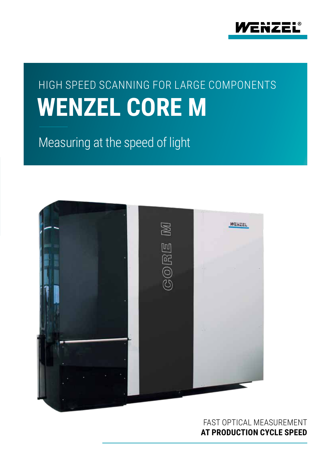

## **WENZEL CORE M** HIGH SPEED SCANNING FOR LARGE COMPONENTS

Measuring at the speed of light



FAST OPTICAL MEASUREMENT **AT PRODUCTION CYCLE SPEED**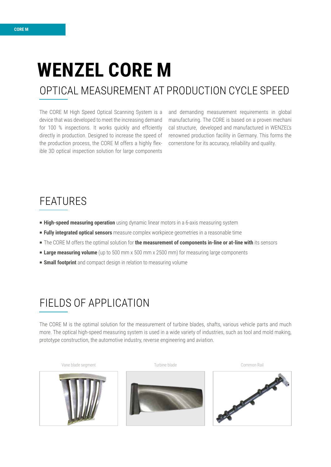# **WENZEL CORE M**

### OPTICAL MEASUREMENT AT PRODUCTION CYCLE SPEED

The CORE M High Speed Optical Scanning System is a device that was developed to meet the increasing demand for 100 % inspections. It works quickly and effciently directly in production. Designed to increase the speed of the production process, the CORE M offers a highly flexible 3D optical inspection solution for large components

and demanding measurement requirements in global manufacturing. The CORE is based on a proven mechani cal structure, developed and manufactured in WENZEL's renowned production facility in Germany. This forms the cornerstone for its accuracy, reliability and quality.

### FEATURES

- **High-speed measuring operation** using dynamic linear motors in a 6-axis measuring system
- P **Fully integrated optical sensors** measure complex workpiece geometries in a reasonable time
- P The CORE M offers the optimal solution for **the measurement of components in-line or at-line with** its sensors
- **Large measuring volume** (up to 500 mm x 500 mm x 2500 mm) for measuring large components
- **F** Small footprint and compact design in relation to measuring volume

### FIELDS OF APPLICATION

The CORE M is the optimal solution for the measurement of turbine blades, shafts, various vehicle parts and much more. The optical high-speed measuring system is used in a wide variety of industries, such as tool and mold making, prototype construction, the automotive industry, reverse engineering and aviation.



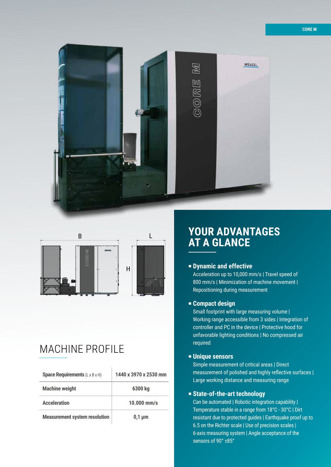



E E

F F

 $\overline{1}$ 

### MACHINE PROFILE

| <b>Space Requirements (L x B x H)</b> | 1440 x 3970 x 2530 mm |
|---------------------------------------|-----------------------|
| <b>Machine weight</b>                 | 6300 ka               |
| <b>Acceleration</b>                   | $10.000$ mm/s         |
| <b>Measurement system resolution</b>  | $0.1 \mu m$           |

### **YOUR ADVANTAGES AT A GLANCE** A

#### P **Dynamic and effective**

Acceleration up to 10,000 mm/s | Travel speed of 800 mm/s | Minimization of machine movement | Repositioning during measurement

#### **Example Compact design**

Small footprint with large measuring volume | Working range accessible from 3 sides | Integration of controller and PC in the device | Protective hood for unfavorable lighting conditions | No compressed air required

#### P **Unique sensors**

Simple measurement of critical areas | Direct measurement of polished and highly reflective surfaces | Large working distance and measuring range

#### P **State-of-the-art technology**

Can be automated | Robotic integration capability | Temperature stable in a range from 18°C - 30°C | Dirt resistant due to protected guides | Earthquake proof up to 6.5 on the Richter scale | Use of precision scales | 6-axis measuring system | Angle acceptance of the sensors of 90° ±85°